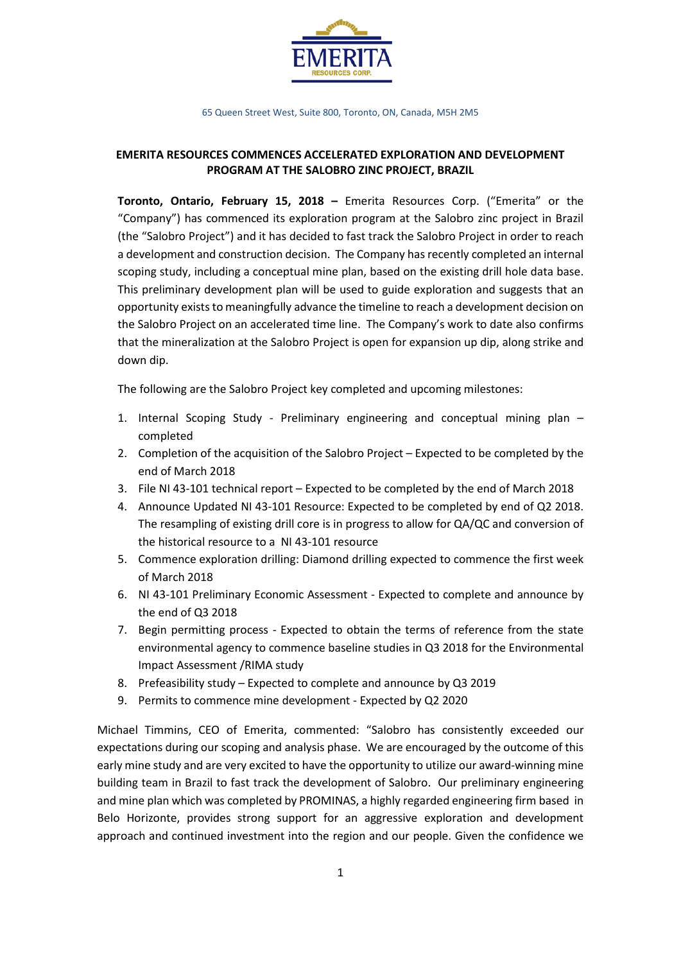

65 Queen Street West, Suite 800, Toronto, ON, Canada, M5H 2M5

## **EMERITA RESOURCES COMMENCES ACCELERATED EXPLORATION AND DEVELOPMENT PROGRAM AT THE SALOBRO ZINC PROJECT, BRAZIL**

**Toronto, Ontario, February 15, 2018 –** Emerita Resources Corp. ("Emerita" or the "Company") has commenced its exploration program at the Salobro zinc project in Brazil (the "Salobro Project") and it has decided to fast track the Salobro Project in order to reach a development and construction decision. The Company has recently completed an internal scoping study, including a conceptual mine plan, based on the existing drill hole data base. This preliminary development plan will be used to guide exploration and suggests that an opportunity exists to meaningfully advance the timeline to reach a development decision on the Salobro Project on an accelerated time line. The Company's work to date also confirms that the mineralization at the Salobro Project is open for expansion up dip, along strike and down dip.

The following are the Salobro Project key completed and upcoming milestones:

- 1. Internal Scoping Study Preliminary engineering and conceptual mining plan completed
- 2. Completion of the acquisition of the Salobro Project Expected to be completed by the end of March 2018
- 3. File NI 43-101 technical report Expected to be completed by the end of March 2018
- 4. Announce Updated NI 43-101 Resource: Expected to be completed by end of Q2 2018. The resampling of existing drill core is in progress to allow for QA/QC and conversion of the historical resource to a NI 43-101 resource
- 5. Commence exploration drilling: Diamond drilling expected to commence the first week of March 2018
- 6. NI 43-101 Preliminary Economic Assessment Expected to complete and announce by the end of Q3 2018
- 7. Begin permitting process Expected to obtain the terms of reference from the state environmental agency to commence baseline studies in Q3 2018 for the Environmental Impact Assessment /RIMA study
- 8. Prefeasibility study Expected to complete and announce by Q3 2019
- 9. Permits to commence mine development Expected by Q2 2020

Michael Timmins, CEO of Emerita, commented: "Salobro has consistently exceeded our expectations during our scoping and analysis phase. We are encouraged by the outcome of this early mine study and are very excited to have the opportunity to utilize our award-winning mine building team in Brazil to fast track the development of Salobro. Our preliminary engineering and mine plan which was completed by PROMINAS, a highly regarded engineering firm based in Belo Horizonte, provides strong support for an aggressive exploration and development approach and continued investment into the region and our people. Given the confidence we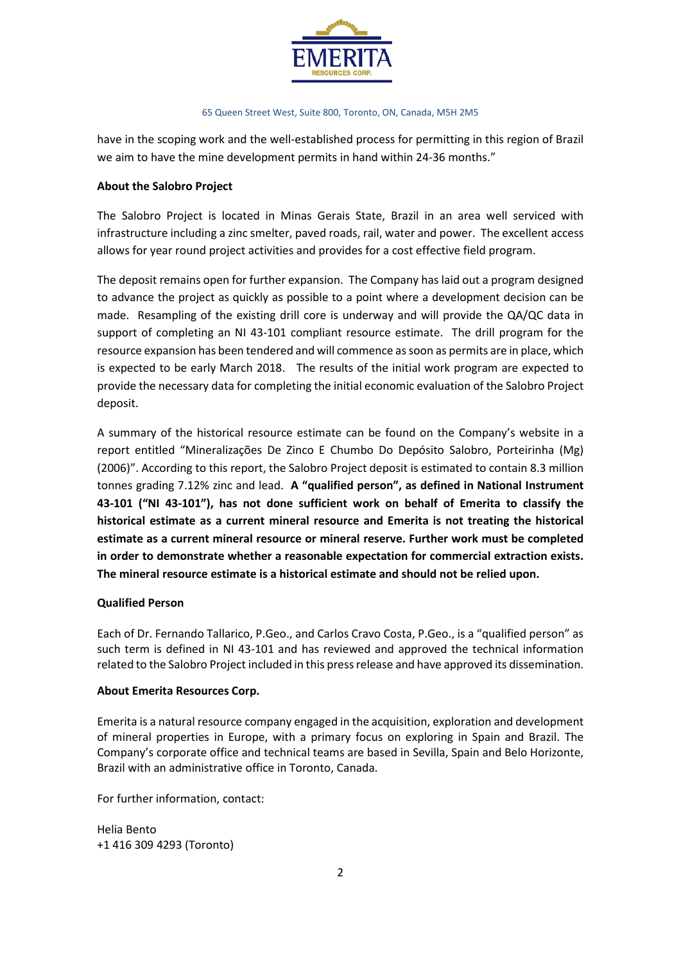

#### 65 Queen Street West, Suite 800, Toronto, ON, Canada, M5H 2M5

have in the scoping work and the well-established process for permitting in this region of Brazil we aim to have the mine development permits in hand within 24-36 months."

### **About the Salobro Project**

The Salobro Project is located in Minas Gerais State, Brazil in an area well serviced with infrastructure including a zinc smelter, paved roads, rail, water and power. The excellent access allows for year round project activities and provides for a cost effective field program.

The deposit remains open for further expansion. The Company has laid out a program designed to advance the project as quickly as possible to a point where a development decision can be made. Resampling of the existing drill core is underway and will provide the QA/QC data in support of completing an NI 43-101 compliant resource estimate. The drill program for the resource expansion has been tendered and will commence as soon as permits are in place, which is expected to be early March 2018. The results of the initial work program are expected to provide the necessary data for completing the initial economic evaluation of the Salobro Project deposit.

A summary of the historical resource estimate can be found on the Company's website in a report entitled "Mineralizações De Zinco E Chumbo Do Depósito Salobro, Porteirinha (Mg) (2006)". According to this report, the Salobro Project deposit is estimated to contain 8.3 million tonnes grading 7.12% zinc and lead. **A "qualified person", as defined in National Instrument 43-101 ("NI 43-101"), has not done sufficient work on behalf of Emerita to classify the historical estimate as a current mineral resource and Emerita is not treating the historical estimate as a current mineral resource or mineral reserve. Further work must be completed in order to demonstrate whether a reasonable expectation for commercial extraction exists. The mineral resource estimate is a historical estimate and should not be relied upon.**

## **Qualified Person**

Each of Dr. Fernando Tallarico, P.Geo., and Carlos Cravo Costa, P.Geo., is a "qualified person" as such term is defined in NI 43-101 and has reviewed and approved the technical information related to the Salobro Project included in this press release and have approved its dissemination.

#### **About Emerita Resources Corp.**

Emerita is a natural resource company engaged in the acquisition, exploration and development of mineral properties in Europe, with a primary focus on exploring in Spain and Brazil. The Company's corporate office and technical teams are based in Sevilla, Spain and Belo Horizonte, Brazil with an administrative office in Toronto, Canada.

For further information, contact:

Helia Bento +1 416 309 4293 (Toronto)